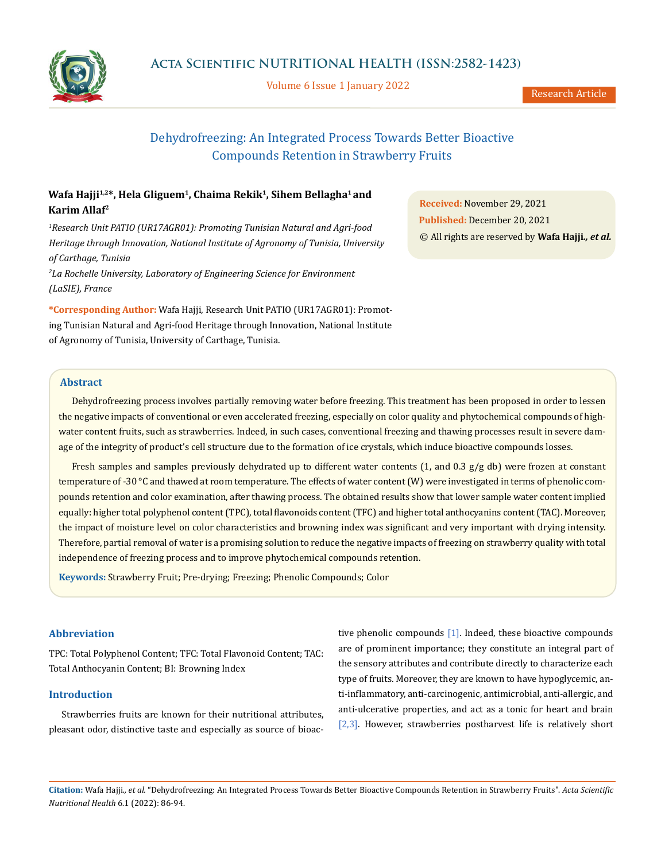

Volume 6 Issue 1 January 2022

Research Article

# Dehydrofreezing: An Integrated Process Towards Better Bioactive Compounds Retention in Strawberry Fruits

## Wafa Hajji<sup>1,2\*</sup>, Hela Gliguem<sup>1</sup>, Chaima Rekik<sup>1</sup>, Sihem Bellagha<sup>1</sup> and **Karim Allaf2**

*1 Research Unit PATIO (UR17AGR01): Promoting Tunisian Natural and Agri-food Heritage through Innovation, National Institute of Agronomy of Tunisia, University of Carthage, Tunisia*

*2 La Rochelle University, Laboratory of Engineering Science for Environment (LaSIE), France*

**\*Corresponding Author:** Wafa Hajji, Research Unit PATIO (UR17AGR01): Promoting Tunisian Natural and Agri-food Heritage through Innovation, National Institute of Agronomy of Tunisia, University of Carthage, Tunisia.

**Received:** November 29, 2021 **Published:** December 20, 2021 © All rights are reserved by **Wafa Hajji***., et al.*

## **Abstract**

Dehydrofreezing process involves partially removing water before freezing. This treatment has been proposed in order to lessen the negative impacts of conventional or even accelerated freezing, especially on color quality and phytochemical compounds of highwater content fruits, such as strawberries. Indeed, in such cases, conventional freezing and thawing processes result in severe damage of the integrity of product's cell structure due to the formation of ice crystals, which induce bioactive compounds losses.

Fresh samples and samples previously dehydrated up to different water contents (1, and 0.3 g/g db) were frozen at constant temperature of -30 °C and thawed at room temperature. The effects of water content (W) were investigated in terms of phenolic compounds retention and color examination, after thawing process. The obtained results show that lower sample water content implied equally: higher total polyphenol content (TPC), total flavonoids content (TFC) and higher total anthocyanins content (TAC). Moreover, the impact of moisture level on color characteristics and browning index was significant and very important with drying intensity. Therefore, partial removal of water is a promising solution to reduce the negative impacts of freezing on strawberry quality with total independence of freezing process and to improve phytochemical compounds retention.

**Keywords:** Strawberry Fruit; Pre-drying; Freezing; Phenolic Compounds; Color

## **Abbreviation**

TPC: Total Polyphenol Content; TFC: Total Flavonoid Content; TAC: Total Anthocyanin Content; BI: Browning Index

## **Introduction**

Strawberries fruits are known for their nutritional attributes, pleasant odor, distinctive taste and especially as source of bioactive phenolic compounds [1]. Indeed, these bioactive compounds are of prominent importance; they constitute an integral part of the sensory attributes and contribute directly to characterize each type of fruits. Moreover, they are known to have hypoglycemic, anti-inflammatory, anti-carcinogenic, antimicrobial, anti-allergic, and anti-ulcerative properties, and act as a tonic for heart and brain [2,3]. However, strawberries postharvest life is relatively short

**Citation:** Wafa Hajji*., et al.* "Dehydrofreezing: An Integrated Process Towards Better Bioactive Compounds Retention in Strawberry Fruits". *Acta Scientific Nutritional Health* 6.1 (2022): 86-94.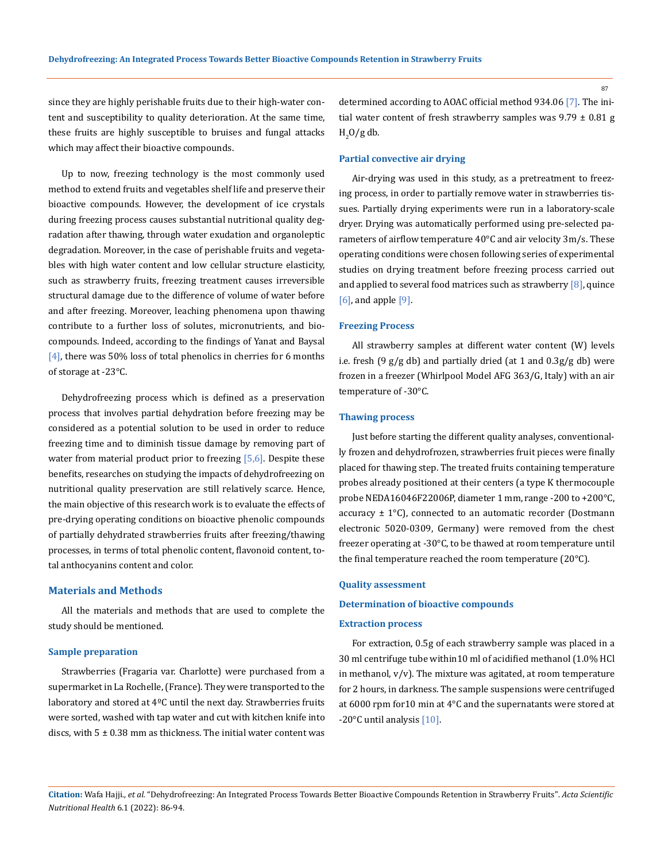since they are highly perishable fruits due to their high-water content and susceptibility to quality deterioration. At the same time, these fruits are highly susceptible to bruises and fungal attacks which may affect their bioactive compounds.

Up to now, freezing technology is the most commonly used method to extend fruits and vegetables shelf life and preserve their bioactive compounds. However, the development of ice crystals during freezing process causes substantial nutritional quality degradation after thawing, through water exudation and organoleptic degradation. Moreover, in the case of perishable fruits and vegetables with high water content and low cellular structure elasticity, such as strawberry fruits, freezing treatment causes irreversible structural damage due to the difference of volume of water before and after freezing. Moreover, leaching phenomena upon thawing contribute to a further loss of solutes, micronutrients, and biocompounds. Indeed, according to the findings of Yanat and Baysal [4], there was 50% loss of total phenolics in cherries for 6 months of storage at -23°C.

Dehydrofreezing process which is defined as a preservation process that involves partial dehydration before freezing may be considered as a potential solution to be used in order to reduce freezing time and to diminish tissue damage by removing part of water from material product prior to freezing  $[5,6]$ . Despite these benefits, researches on studying the impacts of dehydrofreezing on nutritional quality preservation are still relatively scarce. Hence, the main objective of this research work is to evaluate the effects of pre-drying operating conditions on bioactive phenolic compounds of partially dehydrated strawberries fruits after freezing/thawing processes, in terms of total phenolic content, flavonoid content, total anthocyanins content and color.

### **Materials and Methods**

All the materials and methods that are used to complete the study should be mentioned.

### **Sample preparation**

Strawberries (Fragaria var. Charlotte) were purchased from a supermarket in La Rochelle, (France). They were transported to the laboratory and stored at 4ºC until the next day. Strawberries fruits were sorted, washed with tap water and cut with kitchen knife into discs, with  $5 \pm 0.38$  mm as thickness. The initial water content was determined according to AOAC official method 934.06 [7]. The initial water content of fresh strawberry samples was  $9.79 \pm 0.81$  g  $_{\rm H_2}$ O/g db.

### **Partial convective air drying**

Air-drying was used in this study, as a pretreatment to freezing process, in order to partially remove water in strawberries tissues. Partially drying experiments were run in a laboratory-scale dryer. Drying was automatically performed using pre-selected parameters of airflow temperature 40°C and air velocity 3m/s. These operating conditions were chosen following series of experimental studies on drying treatment before freezing process carried out and applied to several food matrices such as strawberry  $[8]$ , quince [6], and apple [9].

#### **Freezing Process**

All strawberry samples at different water content (W) levels i.e. fresh (9  $g/g$  db) and partially dried (at 1 and  $0.3g/g$  db) were frozen in a freezer (Whirlpool Model AFG 363/G, Italy) with an air temperature of -30°C.

### **Thawing process**

Just before starting the different quality analyses, conventionally frozen and dehydrofrozen, strawberries fruit pieces were finally placed for thawing step. The treated fruits containing temperature probes already positioned at their centers (a type K thermocouple probe NEDA16046F22006P, diameter 1 mm, range -200 to +200°C, accuracy  $\pm$  1°C), connected to an automatic recorder (Dostmann electronic 5020-0309, Germany) were removed from the chest freezer operating at -30°C, to be thawed at room temperature until the final temperature reached the room temperature (20°C).

#### **Quality assessment**

### **Determination of bioactive compounds**

#### **Extraction process**

For extraction, 0.5g of each strawberry sample was placed in a 30 ml centrifuge tube within10 ml of acidified methanol (1.0% HCl in methanol,  $v/v$ ). The mixture was agitated, at room temperature for 2 hours, in darkness. The sample suspensions were centrifuged at 6000 rpm for10 min at 4°C and the supernatants were stored at -20°C until analysis [10].

**Citation:** Wafa Hajji*., et al.* "Dehydrofreezing: An Integrated Process Towards Better Bioactive Compounds Retention in Strawberry Fruits". *Acta Scientific Nutritional Health* 6.1 (2022): 86-94.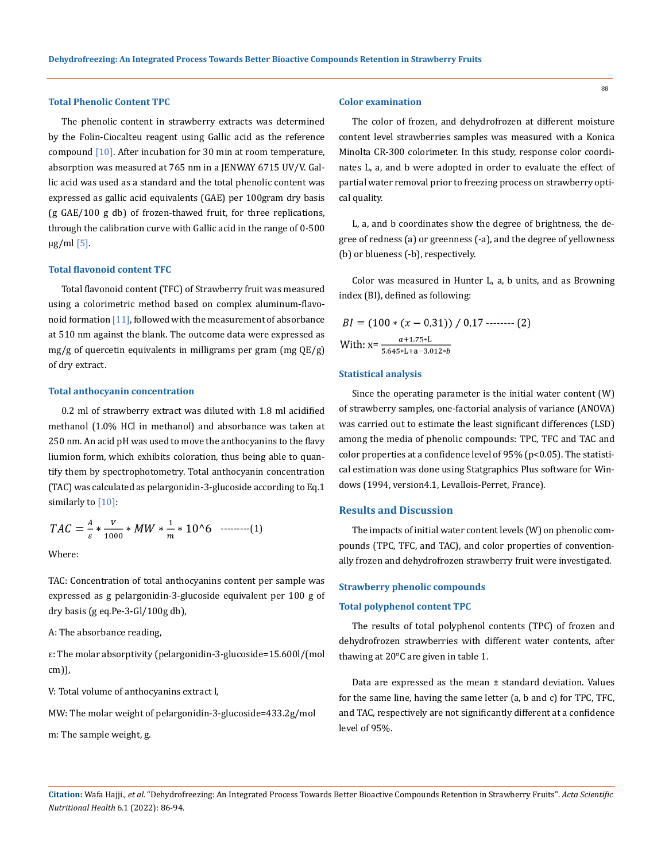### **Total Phenolic Content TPC**

The phenolic content in strawberry extracts was determined by the Folin-Ciocalteu reagent using Gallic acid as the reference compound  $[10]$ . After incubation for 30 min at room temperature, absorption was measured at 765 nm in a JENWAY 6715 UV/V. Gallic acid was used as a standard and the total phenolic content was expressed as gallic acid equivalents (GAE) per 100gram dry basis (g GAE/100 g db) of frozen-thawed fruit, for three replications, through the calibration curve with Gallic acid in the range of 0-500 μg/ml $[5]$ .

### **Total flavonoid content TFC**

Total flavonoid content (TFC) of Strawberry fruit was measured using a colorimetric method based on complex aluminum-flavonoid formation  $[11]$ , followed with the measurement of absorbance at 510 nm against the blank. The outcome data were expressed as mg/g of quercetin equivalents in milligrams per gram (mg QE/g) of dry extract.

#### **Total anthocyanin concentration**

0.2 ml of strawberry extract was diluted with 1.8 ml acidified methanol (1.0% HCl in methanol) and absorbance was taken at 250 nm. An acid pH was used to move the anthocyanins to the flavy liumion form, which exhibits coloration, thus being able to quantify them by spectrophotometry. Total anthocyanin concentration (TAC) was calculated as pelargonidin-3-glucoside according to Eq.1 similarly to [10]:

$$
TAC = \frac{A}{\varepsilon} * \frac{V}{1000} * MW * \frac{1}{m} * 10^{6} \quad \cdots \cdots \cdots \cdots (1)
$$

Where:

TAC: Concentration of total anthocyanins content per sample was expressed as g pelargonidin-3-glucoside equivalent per 100 g of dry basis (g eq.Pe-3-Gl/100g db),

A: The absorbance reading,

ε: The molar absorptivity (pelargonidin-3-glucoside=15.600l/(mol cm)),

V: Total volume of anthocyanins extract l,

MW: The molar weight of pelargonidin-3-glucoside=433.2g/mol

m: The sample weight, g.

### **Color examination**

The color of frozen, and dehydrofrozen at different moisture content level strawberries samples was measured with a Konica Minolta CR-300 colorimeter. In this study, response color coordinates L, a, and b were adopted in order to evaluate the effect of partial water removal prior to freezing process on strawberry optical quality.

L, a, and b coordinates show the degree of brightness, the degree of redness (a) or greenness (-a), and the degree of yellowness (b) or blueness (-b), respectively.

Color was measured in Hunter L, a, b units, and as Browning index (BI), defined as following:

$$
BI = (100 * (x - 0.31)) / 0.17
$$
........(2)  
With:  $x = \frac{a + 1.75 * L}{5.645 * L + a - 3.012 * b}$ 

#### **Statistical analysis**

Since the operating parameter is the initial water content (W) of strawberry samples, one-factorial analysis of variance (ANOVA) was carried out to estimate the least significant differences (LSD) among the media of phenolic compounds: TPC, TFC and TAC and color properties at a confidence level of  $95\%$  (p<0.05). The statistical estimation was done using Statgraphics Plus software for Windows (1994, version4.1, Levallois-Perret, France).

### **Results and Discussion**

The impacts of initial water content levels (W) on phenolic compounds (TPC, TFC, and TAC), and color properties of conventionally frozen and dehydrofrozen strawberry fruit were investigated.

#### **Strawberry phenolic compounds**

#### **Total polyphenol content TPC**

The results of total polyphenol contents (TPC) of frozen and dehydrofrozen strawberries with different water contents, after thawing at 20°C are given in table 1.

Data are expressed as the mean  $±$  standard deviation. Values for the same line, having the same letter (a, b and c) for TPC, TFC, and TAC, respectively are not significantly different at a confidence level of 95%.

**Citation:** Wafa Hajji*., et al.* "Dehydrofreezing: An Integrated Process Towards Better Bioactive Compounds Retention in Strawberry Fruits". *Acta Scientific Nutritional Health* 6.1 (2022): 86-94.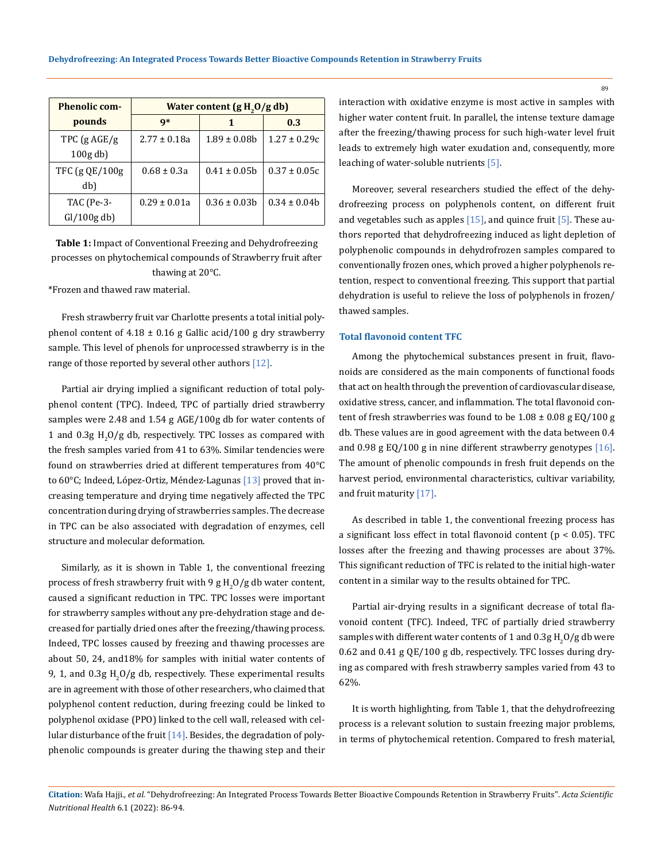| <b>Phenolic com-</b>  | Water content $(g H2O/g db)$ |                   |                  |
|-----------------------|------------------------------|-------------------|------------------|
| pounds                | $\mathbf{q}^*$               |                   | 0.3              |
| TPC $(gAGE/g)$        | $2.77 \pm 0.18a$             | $1.89 \pm 0.08$   | $1.27 \pm 0.29c$ |
| $100g$ db)            |                              |                   |                  |
| TFC (g QE/100g        | $0.68 \pm 0.3a$              | $0.41 \pm 0.05$ h | $0.37 \pm 0.05c$ |
| db)                   |                              |                   |                  |
| TAC (Pe-3-            | $0.29 \pm 0.01a$             | $0.36 \pm 0.03$   | $0.34 \pm 0.04$  |
| $\frac{Gl}{100g}$ db) |                              |                   |                  |

**Table 1:** Impact of Conventional Freezing and Dehydrofreezing processes on phytochemical compounds of Strawberry fruit after thawing at 20°C.

\*Frozen and thawed raw material.

Fresh strawberry fruit var Charlotte presents a total initial polyphenol content of  $4.18 \pm 0.16$  g Gallic acid/100 g dry strawberry sample. This level of phenols for unprocessed strawberry is in the range of those reported by several other authors  $[12]$ .

Partial air drying implied a significant reduction of total polyphenol content (TPC). Indeed, TPC of partially dried strawberry samples were 2.48 and 1.54 g AGE/100g db for water contents of 1 and  $0.3$ g H<sub>2</sub>O/g db, respectively. TPC losses as compared with the fresh samples varied from 41 to 63%. Similar tendencies were found on strawberries dried at different temperatures from 40°C to 60°C; Indeed, López-Ortiz, Méndez-Lagunas [13] proved that increasing temperature and drying time negatively affected the TPC concentration during drying of strawberries samples. The decrease in TPC can be also associated with degradation of enzymes, cell structure and molecular deformation.

Similarly, as it is shown in Table 1, the conventional freezing process of fresh strawberry fruit with 9 g  $\rm H_2O/g$  db water content, caused a significant reduction in TPC. TPC losses were important for strawberry samples without any pre-dehydration stage and decreased for partially dried ones after the freezing/thawing process. Indeed, TPC losses caused by freezing and thawing processes are about 50, 24, and18% for samples with initial water contents of 9, 1, and  $0.3$ g H<sub>2</sub>O/g db, respectively. These experimental results are in agreement with those of other researchers, who claimed that polyphenol content reduction, during freezing could be linked to polyphenol oxidase (PPO) linked to the cell wall, released with cellular disturbance of the fruit  $[14]$ . Besides, the degradation of polyphenolic compounds is greater during the thawing step and their

interaction with oxidative enzyme is most active in samples with higher water content fruit. In parallel, the intense texture damage after the freezing/thawing process for such high-water level fruit leads to extremely high water exudation and, consequently, more leaching of water-soluble nutrients [5].

Moreover, several researchers studied the effect of the dehydrofreezing process on polyphenols content, on different fruit and vegetables such as apples  $[15]$ , and quince fruit  $[5]$ . These authors reported that dehydrofreezing induced as light depletion of polyphenolic compounds in dehydrofrozen samples compared to conventionally frozen ones, which proved a higher polyphenols retention, respect to conventional freezing. This support that partial dehydration is useful to relieve the loss of polyphenols in frozen/ thawed samples.

### **Total flavonoid content TFC**

Among the phytochemical substances present in fruit, flavonoids are considered as the main components of functional foods that act on health through the prevention of cardiovascular disease, oxidative stress, cancer, and inflammation. The total flavonoid content of fresh strawberries was found to be  $1.08 \pm 0.08$  g EQ/100 g db. These values are in good agreement with the data between 0.4 and 0.98 g EQ/100 g in nine different strawberry genotypes [16]. The amount of phenolic compounds in fresh fruit depends on the harvest period, environmental characteristics, cultivar variability, and fruit maturity [17].

As described in table 1, the conventional freezing process has a significant loss effect in total flavonoid content ( $p < 0.05$ ). TFC losses after the freezing and thawing processes are about 37%. This significant reduction of TFC is related to the initial high-water content in a similar way to the results obtained for TPC.

Partial air-drying results in a significant decrease of total flavonoid content (TFC). Indeed, TFC of partially dried strawberry samples with different water contents of  $1$  and  $0.3$ g H $_{2}$ O/g db were 0.62 and 0.41 g QE/100 g db, respectively. TFC losses during drying as compared with fresh strawberry samples varied from 43 to 62%.

It is worth highlighting, from Table 1, that the dehydrofreezing process is a relevant solution to sustain freezing major problems, in terms of phytochemical retention. Compared to fresh material,

**Citation:** Wafa Hajji*., et al.* "Dehydrofreezing: An Integrated Process Towards Better Bioactive Compounds Retention in Strawberry Fruits". *Acta Scientific Nutritional Health* 6.1 (2022): 86-94.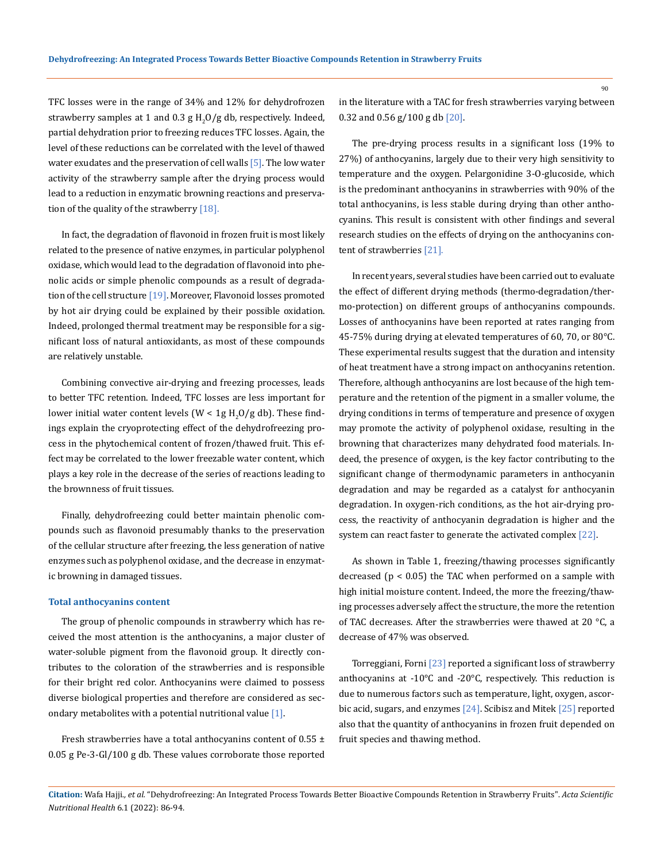TFC losses were in the range of 34% and 12% for dehydrofrozen strawberry samples at 1 and 0.3 g  $H_2O/g$  db, respectively. Indeed, partial dehydration prior to freezing reduces TFC losses. Again, the level of these reductions can be correlated with the level of thawed water exudates and the preservation of cell walls  $[5]$ . The low water activity of the strawberry sample after the drying process would lead to a reduction in enzymatic browning reactions and preservation of the quality of the strawberry [18].

In fact, the degradation of flavonoid in frozen fruit is most likely related to the presence of native enzymes, in particular polyphenol oxidase, which would lead to the degradation of flavonoid into phenolic acids or simple phenolic compounds as a result of degradation of the cell structure [19]. Moreover, Flavonoid losses promoted by hot air drying could be explained by their possible oxidation. Indeed, prolonged thermal treatment may be responsible for a significant loss of natural antioxidants, as most of these compounds are relatively unstable.

Combining convective air-drying and freezing processes, leads to better TFC retention. Indeed, TFC losses are less important for lower initial water content levels (W < 1g H<sub>2</sub>O/g db). These findings explain the cryoprotecting effect of the dehydrofreezing process in the phytochemical content of frozen/thawed fruit. This effect may be correlated to the lower freezable water content, which plays a key role in the decrease of the series of reactions leading to the brownness of fruit tissues.

Finally, dehydrofreezing could better maintain phenolic compounds such as flavonoid presumably thanks to the preservation of the cellular structure after freezing, the less generation of native enzymes such as polyphenol oxidase, and the decrease in enzymatic browning in damaged tissues.

### **Total anthocyanins content**

The group of phenolic compounds in strawberry which has received the most attention is the anthocyanins, a major cluster of water-soluble pigment from the flavonoid group. It directly contributes to the coloration of the strawberries and is responsible for their bright red color. Anthocyanins were claimed to possess diverse biological properties and therefore are considered as secondary metabolites with a potential nutritional value [1].

Fresh strawberries have a total anthocyanins content of  $0.55 \pm$ 0.05 g Pe-3-Gl/100 g db. These values corroborate those reported in the literature with a TAC for fresh strawberries varying between 0.32 and 0.56 g/100 g db [20].

The pre-drying process results in a significant loss (19% to 27%) of anthocyanins, largely due to their very high sensitivity to temperature and the oxygen. Pelargonidine 3-O-glucoside, which is the predominant anthocyanins in strawberries with 90% of the total anthocyanins, is less stable during drying than other anthocyanins. This result is consistent with other findings and several research studies on the effects of drying on the anthocyanins content of strawberries [21].

In recent years, several studies have been carried out to evaluate the effect of different drying methods (thermo-degradation/thermo-protection) on different groups of anthocyanins compounds. Losses of anthocyanins have been reported at rates ranging from 45-75% during drying at elevated temperatures of 60, 70, or 80°C. These experimental results suggest that the duration and intensity of heat treatment have a strong impact on anthocyanins retention. Therefore, although anthocyanins are lost because of the high temperature and the retention of the pigment in a smaller volume, the drying conditions in terms of temperature and presence of oxygen may promote the activity of polyphenol oxidase, resulting in the browning that characterizes many dehydrated food materials. Indeed, the presence of oxygen, is the key factor contributing to the significant change of thermodynamic parameters in anthocyanin degradation and may be regarded as a catalyst for anthocyanin degradation. In oxygen-rich conditions, as the hot air-drying process, the reactivity of anthocyanin degradation is higher and the system can react faster to generate the activated complex [22].

As shown in Table 1, freezing/thawing processes significantly decreased (p < 0.05) the TAC when performed on a sample with high initial moisture content. Indeed, the more the freezing/thawing processes adversely affect the structure, the more the retention of TAC decreases. After the strawberries were thawed at 20 °C, a decrease of 47% was observed.

Torreggiani, Forni  $[23]$  reported a significant loss of strawberry anthocyanins at -10°C and -20°C, respectively. This reduction is due to numerous factors such as temperature, light, oxygen, ascorbic acid, sugars, and enzymes  $[24]$ . Scibisz and Mitek  $[25]$  reported also that the quantity of anthocyanins in frozen fruit depended on fruit species and thawing method.

**Citation:** Wafa Hajji*., et al.* "Dehydrofreezing: An Integrated Process Towards Better Bioactive Compounds Retention in Strawberry Fruits". *Acta Scientific Nutritional Health* 6.1 (2022): 86-94.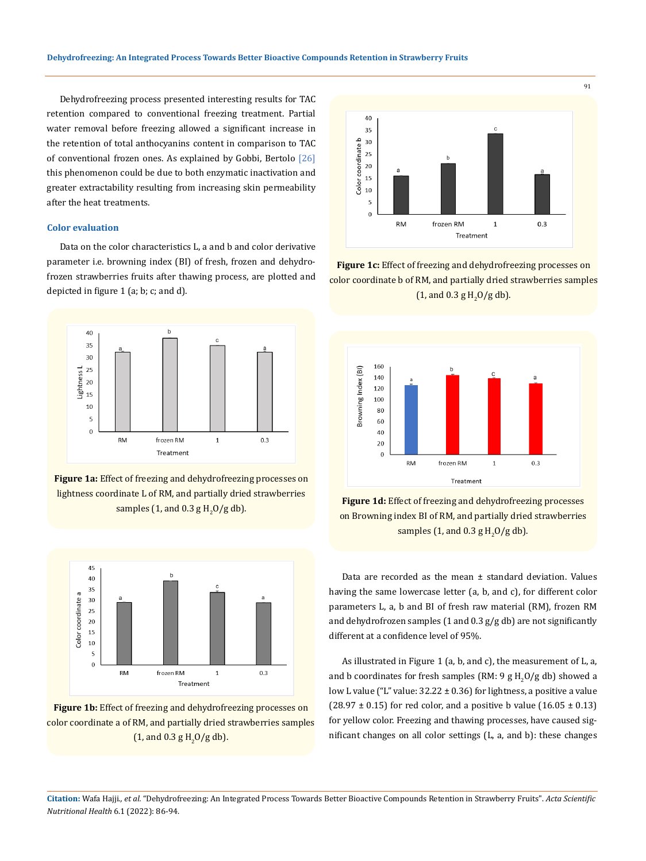Dehydrofreezing process presented interesting results for TAC retention compared to conventional freezing treatment. Partial water removal before freezing allowed a significant increase in the retention of total anthocyanins content in comparison to TAC of conventional frozen ones. As explained by Gobbi, Bertolo [26] this phenomenon could be due to both enzymatic inactivation and greater extractability resulting from increasing skin permeability after the heat treatments.

### **Color evaluation**

Data on the color characteristics L, a and b and color derivative parameter i.e. browning index (BI) of fresh, frozen and dehydrofrozen strawberries fruits after thawing process, are plotted and depicted in figure 1 (a; b; c; and d).



**Figure 1a:** Effect of freezing and dehydrofreezing processes on lightness coordinate L of RM, and partially dried strawberries samples (1, and 0.3  $g H<sub>2</sub>O/g$  db).



**Figure 1b:** Effect of freezing and dehydrofreezing processes on color coordinate a of RM, and partially dried strawberries samples (1, and 0.3 g  $H_2O/g$  db).



**Figure 1c:** Effect of freezing and dehydrofreezing processes on color coordinate b of RM, and partially dried strawberries samples (1, and 0.3 g  $H_2O/g$  db).



**Figure 1d:** Effect of freezing and dehydrofreezing processes on Browning index BI of RM, and partially dried strawberries samples (1, and 0.3  $g H<sub>2</sub>O/g$  db).

Data are recorded as the mean  $\pm$  standard deviation. Values having the same lowercase letter (a, b, and c), for different color parameters L, a, b and BI of fresh raw material (RM), frozen RM and dehydrofrozen samples (1 and  $0.3$  g/g db) are not significantly different at a confidence level of 95%.

As illustrated in Figure 1 (a, b, and c), the measurement of L, a, and b coordinates for fresh samples (RM: 9 g  $\rm H_2O/g$  db) showed a low L value ("L" value:  $32.22 \pm 0.36$ ) for lightness, a positive a value  $(28.97 \pm 0.15)$  for red color, and a positive b value  $(16.05 \pm 0.13)$ for yellow color. Freezing and thawing processes, have caused significant changes on all color settings (L, a, and b): these changes

**Citation:** Wafa Hajji*., et al.* "Dehydrofreezing: An Integrated Process Towards Better Bioactive Compounds Retention in Strawberry Fruits". *Acta Scientific Nutritional Health* 6.1 (2022): 86-94.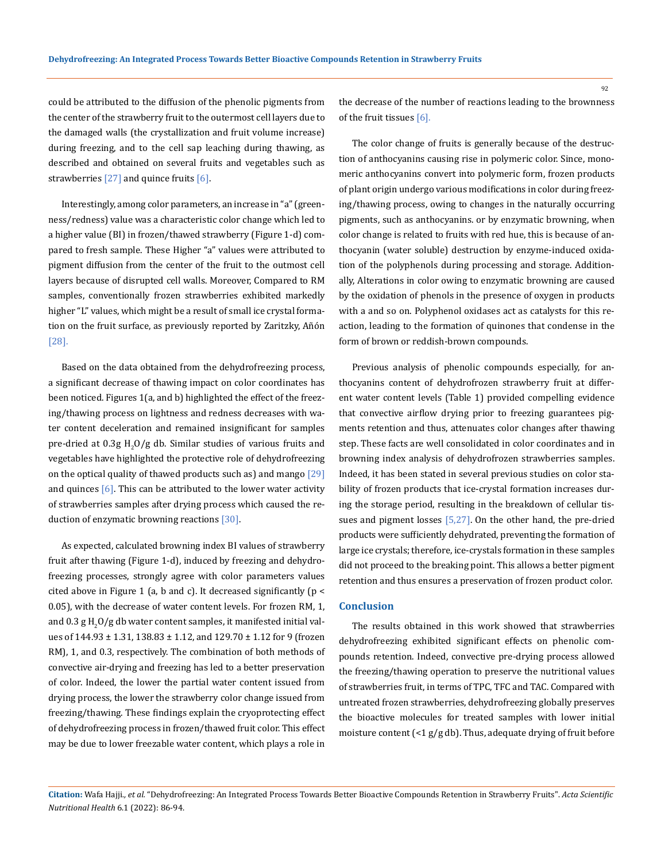could be attributed to the diffusion of the phenolic pigments from the center of the strawberry fruit to the outermost cell layers due to the damaged walls (the crystallization and fruit volume increase) during freezing, and to the cell sap leaching during thawing, as described and obtained on several fruits and vegetables such as strawberries  $[27]$  and quince fruits  $[6]$ .

Interestingly, among color parameters, an increase in "a" (greenness/redness) value was a characteristic color change which led to a higher value (BI) in frozen/thawed strawberry (Figure 1-d) compared to fresh sample. These Higher "a" values were attributed to pigment diffusion from the center of the fruit to the outmost cell layers because of disrupted cell walls. Moreover, Compared to RM samples, conventionally frozen strawberries exhibited markedly higher "L" values, which might be a result of small ice crystal formation on the fruit surface, as previously reported by Zaritzky, Añón [28].

Based on the data obtained from the dehydrofreezing process, a significant decrease of thawing impact on color coordinates has been noticed. Figures 1(a, and b) highlighted the effect of the freezing/thawing process on lightness and redness decreases with water content deceleration and remained insignificant for samples pre-dried at  $0.3$ g H<sub>2</sub>O/g db. Similar studies of various fruits and vegetables have highlighted the protective role of dehydrofreezing on the optical quality of thawed products such as) and mango  $[29]$ and quinces  $[6]$ . This can be attributed to the lower water activity of strawberries samples after drying process which caused the reduction of enzymatic browning reactions [30].

As expected, calculated browning index BI values of strawberry fruit after thawing (Figure 1-d), induced by freezing and dehydrofreezing processes, strongly agree with color parameters values cited above in Figure 1 (a, b and c). It decreased significantly ( $p <$ 0.05), with the decrease of water content levels. For frozen RM, 1, and  $0.3$  g H $_{\rm 2}$ O/g db water content samples, it manifested initial values of 144.93 ± 1.31, 138.83 ± 1.12, and 129.70 ± 1.12 for 9 (frozen RM), 1, and 0.3, respectively. The combination of both methods of convective air-drying and freezing has led to a better preservation of color. Indeed, the lower the partial water content issued from drying process, the lower the strawberry color change issued from freezing/thawing. These findings explain the cryoprotecting effect of dehydrofreezing process in frozen/thawed fruit color. This effect may be due to lower freezable water content, which plays a role in

the decrease of the number of reactions leading to the brownness of the fruit tissues [6].

The color change of fruits is generally because of the destruction of anthocyanins causing rise in polymeric color. Since, monomeric anthocyanins convert into polymeric form, frozen products of plant origin undergo various modifications in color during freezing/thawing process, owing to changes in the naturally occurring pigments, such as anthocyanins. or by enzymatic browning, when color change is related to fruits with red hue, this is because of anthocyanin (water soluble) destruction by enzyme-induced oxidation of the polyphenols during processing and storage. Additionally, Alterations in color owing to enzymatic browning are caused by the oxidation of phenols in the presence of oxygen in products with a and so on. Polyphenol oxidases act as catalysts for this reaction, leading to the formation of quinones that condense in the form of brown or reddish-brown compounds.

Previous analysis of phenolic compounds especially, for anthocyanins content of dehydrofrozen strawberry fruit at different water content levels (Table 1) provided compelling evidence that convective airflow drying prior to freezing guarantees pigments retention and thus, attenuates color changes after thawing step. These facts are well consolidated in color coordinates and in browning index analysis of dehydrofrozen strawberries samples. Indeed, it has been stated in several previous studies on color stability of frozen products that ice-crystal formation increases during the storage period, resulting in the breakdown of cellular tissues and pigment losses [5,27]. On the other hand, the pre-dried products were sufficiently dehydrated, preventing the formation of large ice crystals; therefore, ice-crystals formation in these samples did not proceed to the breaking point. This allows a better pigment retention and thus ensures a preservation of frozen product color.

### **Conclusion**

The results obtained in this work showed that strawberries dehydrofreezing exhibited significant effects on phenolic compounds retention. Indeed, convective pre-drying process allowed the freezing/thawing operation to preserve the nutritional values of strawberries fruit, in terms of TPC, TFC and TAC. Compared with untreated frozen strawberries, dehydrofreezing globally preserves the bioactive molecules for treated samples with lower initial moisture content (<1 g/g db). Thus, adequate drying of fruit before

**Citation:** Wafa Hajji*., et al.* "Dehydrofreezing: An Integrated Process Towards Better Bioactive Compounds Retention in Strawberry Fruits". *Acta Scientific Nutritional Health* 6.1 (2022): 86-94.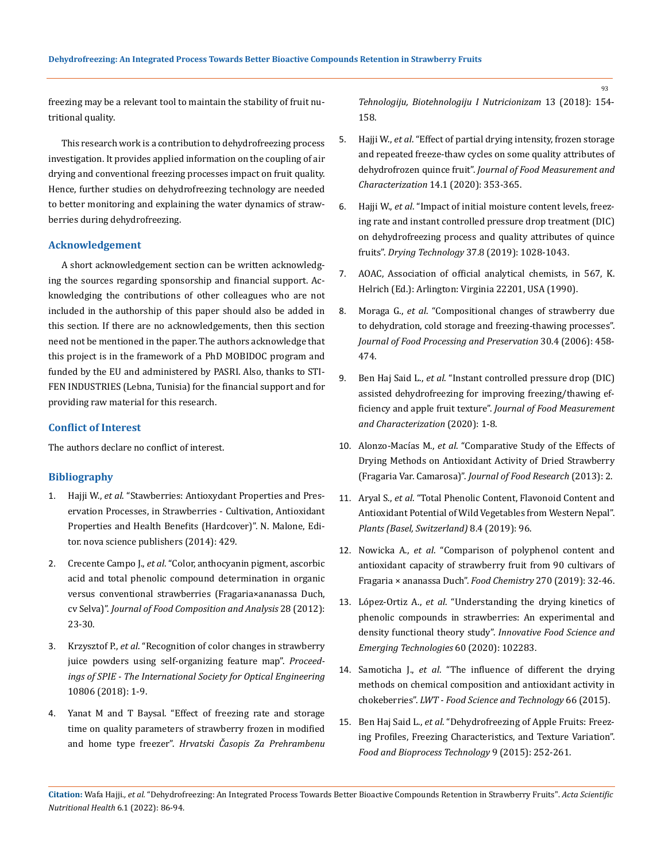freezing may be a relevant tool to maintain the stability of fruit nutritional quality.

This research work is a contribution to dehydrofreezing process investigation. It provides applied information on the coupling of air drying and conventional freezing processes impact on fruit quality. Hence, further studies on dehydrofreezing technology are needed to better monitoring and explaining the water dynamics of strawberries during dehydrofreezing.

### **Acknowledgement**

A short acknowledgement section can be written acknowledging the sources regarding sponsorship and financial support. Acknowledging the contributions of other colleagues who are not included in the authorship of this paper should also be added in this section. If there are no acknowledgements, then this section need not be mentioned in the paper. The authors acknowledge that this project is in the framework of a PhD MOBIDOC program and funded by the EU and administered by PASRI. Also, thanks to STI-FEN INDUSTRIES (Lebna, Tunisia) for the financial support and for providing raw material for this research.

### **Conflict of Interest**

The authors declare no conflict of interest.

### **Bibliography**

- 1. Hajji W., *et al*. "Stawberries: Antioxydant Properties and Preservation Processes, in Strawberries - Cultivation, Antioxidant Properties and Health Benefits (Hardcover)". N. Malone, Editor. nova science publishers (2014): 429.
- 2. Crecente Campo J., *et al*[. "Color, anthocyanin pigment, ascorbic](https://www.sciencedirect.com/science/article/abs/pii/S0889157512001159)  [acid and total phenolic compound determination in organic](https://www.sciencedirect.com/science/article/abs/pii/S0889157512001159)  [versus conventional strawberries \(Fragaria×ananassa Duch,](https://www.sciencedirect.com/science/article/abs/pii/S0889157512001159)  cv Selva)". *[Journal of Food Composition and Analysis](https://www.sciencedirect.com/science/article/abs/pii/S0889157512001159)* 28 (2012): [23-30.](https://www.sciencedirect.com/science/article/abs/pii/S0889157512001159)
- 3. Krzysztof P., *et al*[. "Recognition of color changes in strawberry](https://www.spiedigitallibrary.org/conference-proceedings-of-spie/10806/1080621/Recognition-of-color-changes-in-strawberry-juice-powders-using-self/10.1117/12.2503101.short?SSO=1)  [juice powders using self-organizing feature map".](https://www.spiedigitallibrary.org/conference-proceedings-of-spie/10806/1080621/Recognition-of-color-changes-in-strawberry-juice-powders-using-self/10.1117/12.2503101.short?SSO=1) *Proceed[ings of SPIE - The International Society for Optical Engineering](https://www.spiedigitallibrary.org/conference-proceedings-of-spie/10806/1080621/Recognition-of-color-changes-in-strawberry-juice-powders-using-self/10.1117/12.2503101.short?SSO=1)* [10806 \(2018\): 1-9.](https://www.spiedigitallibrary.org/conference-proceedings-of-spie/10806/1080621/Recognition-of-color-changes-in-strawberry-juice-powders-using-self/10.1117/12.2503101.short?SSO=1)
- 4. [Yanat M and T Baysal. "Effect of freezing rate and storage](https://www.researchgate.net/publication/331946258_Effect_of_freezing_rate_and_storage_time_on_quality_parameters_of_strawberry_frozen_in_modified_and_home_type_freezer)  [time on quality parameters of strawberry frozen in modified](https://www.researchgate.net/publication/331946258_Effect_of_freezing_rate_and_storage_time_on_quality_parameters_of_strawberry_frozen_in_modified_and_home_type_freezer)  and home type freezer". *[Hrvatski Časopis Za Prehrambenu](https://www.researchgate.net/publication/331946258_Effect_of_freezing_rate_and_storage_time_on_quality_parameters_of_strawberry_frozen_in_modified_and_home_type_freezer)*

*[Tehnologiju, Biotehnologiju I Nutricionizam](https://www.researchgate.net/publication/331946258_Effect_of_freezing_rate_and_storage_time_on_quality_parameters_of_strawberry_frozen_in_modified_and_home_type_freezer)* 13 (2018): 154- [158.](https://www.researchgate.net/publication/331946258_Effect_of_freezing_rate_and_storage_time_on_quality_parameters_of_strawberry_frozen_in_modified_and_home_type_freezer)

- 5. Hajji W., *et al*[. "Effect of partial drying intensity, frozen storage](https://link.springer.com/article/10.1007/s11694-019-00297-z) [and repeated freeze-thaw cycles on some quality attributes of](https://link.springer.com/article/10.1007/s11694-019-00297-z) dehydrofrozen quince fruit". *[Journal of Food Measurement and](https://link.springer.com/article/10.1007/s11694-019-00297-z) Characterization* [14.1 \(2020\): 353-365.](https://link.springer.com/article/10.1007/s11694-019-00297-z)
- 6. Hajji W., *et al*[. "Impact of initial moisture content levels, freez](https://www.tandfonline.com/doi/abs/10.1080/07373937.2018.1481867)[ing rate and instant controlled pressure drop treatment \(DIC\)](https://www.tandfonline.com/doi/abs/10.1080/07373937.2018.1481867) [on dehydrofreezing process and quality attributes of quince](https://www.tandfonline.com/doi/abs/10.1080/07373937.2018.1481867) fruits". *Drying Technology* [37.8 \(2019\): 1028-1043.](https://www.tandfonline.com/doi/abs/10.1080/07373937.2018.1481867)
- 7. AOAC, Association of official analytical chemists, in 567, K. Helrich (Ed.): Arlington: Virginia 22201, USA (1990).
- 8. Moraga G., *et al*[. "Compositional changes of strawberry due](https://www.researchgate.net/publication/227549838_Compositional_changes_of_strawberry_due_to_dehydration_cold_storage_and_freezing-thawing_processes) [to dehydration, cold storage and freezing-thawing processes".](https://www.researchgate.net/publication/227549838_Compositional_changes_of_strawberry_due_to_dehydration_cold_storage_and_freezing-thawing_processes) *[Journal of Food Processing and Preservation](https://www.researchgate.net/publication/227549838_Compositional_changes_of_strawberry_due_to_dehydration_cold_storage_and_freezing-thawing_processes)* 30.4 (2006): 458- [474.](https://www.researchgate.net/publication/227549838_Compositional_changes_of_strawberry_due_to_dehydration_cold_storage_and_freezing-thawing_processes)
- 9. Ben Haj Said L., *et al*[. "Instant controlled pressure drop \(DIC\)](https://link.springer.com/article/10.1007/s11694-020-00668-x) [assisted dehydrofreezing for improving freezing/thawing ef](https://link.springer.com/article/10.1007/s11694-020-00668-x)ficiency and apple fruit texture". *[Journal of Food Measurement](https://link.springer.com/article/10.1007/s11694-020-00668-x) [and Characterization](https://link.springer.com/article/10.1007/s11694-020-00668-x)* (2020): 1-8.
- 10. Alonzo-Macías M., *et al*[. "Comparative Study of the Effects of](https://www.researchgate.net/publication/257332796_Comparative_Study_of_the_Effects_of_Drying_Methods_on_Antioxidant_Activity_of_Dried_Strawberry_Fragaria_Var_Camarosa) [Drying Methods on Antioxidant Activity of Dried Strawberry](https://www.researchgate.net/publication/257332796_Comparative_Study_of_the_Effects_of_Drying_Methods_on_Antioxidant_Activity_of_Dried_Strawberry_Fragaria_Var_Camarosa) (Fragaria Var. Camarosa)". *[Journal of Food Research](https://www.researchgate.net/publication/257332796_Comparative_Study_of_the_Effects_of_Drying_Methods_on_Antioxidant_Activity_of_Dried_Strawberry_Fragaria_Var_Camarosa)* (2013): 2.
- 11. Aryal S., *et al*[. "Total Phenolic Content, Flavonoid Content and](https://pubmed.ncbi.nlm.nih.gov/30978964/) [Antioxidant Potential of Wild Vegetables from Western Nepal".](https://pubmed.ncbi.nlm.nih.gov/30978964/) *[Plants \(Basel, Switzerland\)](https://pubmed.ncbi.nlm.nih.gov/30978964/)* 8.4 (2019): 96.
- 12. Nowicka A., *et al*[. "Comparison of polyphenol content and](https://www.sciencedirect.com/science/article/abs/pii/S0308814618311567) [antioxidant capacity of strawberry fruit from 90 cultivars of](https://www.sciencedirect.com/science/article/abs/pii/S0308814618311567) [Fragaria × ananassa Duch".](https://www.sciencedirect.com/science/article/abs/pii/S0308814618311567) *Food Chemistry* 270 (2019): 32-46.
- 13. López-Ortiz A., *et al*[. "Understanding the drying kinetics of](https://www.sciencedirect.com/science/article/abs/pii/S1466856419306964) [phenolic compounds in strawberries: An experimental and](https://www.sciencedirect.com/science/article/abs/pii/S1466856419306964) density functional theory study". *[Innovative Food Science and](https://www.sciencedirect.com/science/article/abs/pii/S1466856419306964) [Emerging Technologies](https://www.sciencedirect.com/science/article/abs/pii/S1466856419306964)* 60 (2020): 102283.
- 14. Samoticha J., *et al*[. "The influence of different the drying](https://www.sciencedirect.com/science/article/abs/pii/S0023643815302917) [methods on chemical composition and antioxidant activity in](https://www.sciencedirect.com/science/article/abs/pii/S0023643815302917) chokeberries". *[LWT - Food Science and Technology](https://www.sciencedirect.com/science/article/abs/pii/S0023643815302917)* 66 (2015).
- 15. Ben Haj Said L., *et al*[. "Dehydrofreezing of Apple Fruits: Freez](https://link.springer.com/article/10.1007/s11947-015-1619-4)[ing Profiles, Freezing Characteristics, and Texture Variation".](https://link.springer.com/article/10.1007/s11947-015-1619-4) *[Food and Bioprocess Technology](https://link.springer.com/article/10.1007/s11947-015-1619-4)* 9 (2015): 252-261.

**Citation:** Wafa Hajji*., et al.* "Dehydrofreezing: An Integrated Process Towards Better Bioactive Compounds Retention in Strawberry Fruits". *Acta Scientific Nutritional Health* 6.1 (2022): 86-94.